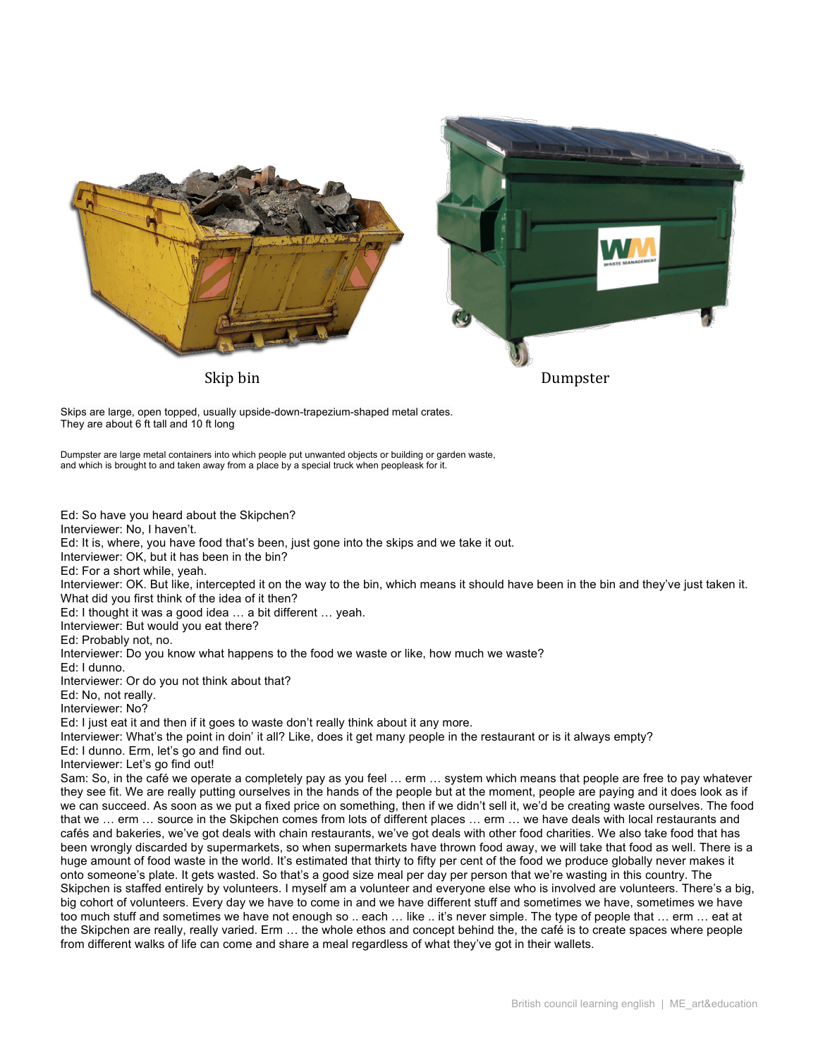

Skips are large, open topped, usually upside-down-trapezium-shaped metal crates. They are about 6 ft tall and 10 ft long

Dumpster are large metal containers into which people put unwanted objects or building or garden waste, and which is brought to and taken away from a place by a special truck when peopleask for it.

Ed: So have you heard about the Skipchen? Interviewer: No, I haven't. Ed: It is, where, you have food that's been, just gone into the skips and we take it out. Interviewer: OK, but it has been in the bin? Ed: For a short while, yeah. Interviewer: OK. But like, intercepted it on the way to the bin, which means it should have been in the bin and they've just taken it. What did you first think of the idea of it then? Ed: I thought it was a good idea … a bit different … yeah. Interviewer: But would you eat there? Ed: Probably not, no. Interviewer: Do you know what happens to the food we waste or like, how much we waste? Ed: I dunno. Interviewer: Or do you not think about that? Ed: No, not really. Interviewer: No? Ed: I just eat it and then if it goes to waste don't really think about it any more. Interviewer: What's the point in doin' it all? Like, does it get many people in the restaurant or is it always empty? Ed: I dunno. Erm, let's go and find out. Interviewer: Let's go find out! Sam: So, in the café we operate a completely pay as you feel … erm … system which means that people are free to pay whatever they see fit. We are really putting ourselves in the hands of the people but at the moment, people are paying and it does look as if we can succeed. As soon as we put a fixed price on something, then if we didn't sell it, we'd be creating waste ourselves. The food that we … erm … source in the Skipchen comes from lots of different places … erm … we have deals with local restaurants and cafés and bakeries, we've got deals with chain restaurants, we've got deals with other food charities. We also take food that has been wrongly discarded by supermarkets, so when supermarkets have thrown food away, we will take that food as well. There is a huge amount of food waste in the world. It's estimated that thirty to fifty per cent of the food we produce globally never makes it onto someone's plate. It gets wasted. So that's a good size meal per day per person that we're wasting in this country. The Skipchen is staffed entirely by volunteers. I myself am a volunteer and everyone else who is involved are volunteers. There's a big, big cohort of volunteers. Every day we have to come in and we have different stuff and sometimes we have, sometimes we have too much stuff and sometimes we have not enough so .. each … like .. it's never simple. The type of people that … erm … eat at the Skipchen are really, really varied. Erm … the whole ethos and concept behind the, the café is to create spaces where people from different walks of life can come and share a meal regardless of what they've got in their wallets.